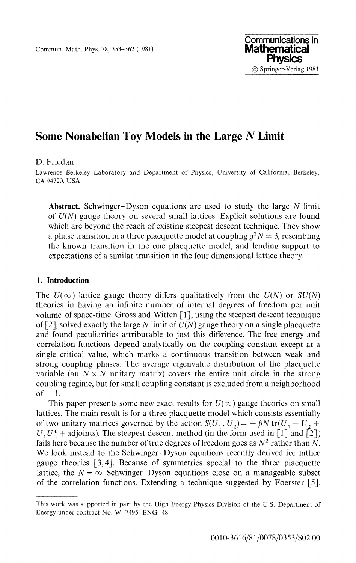Commun. Math. Phys. 78, 353-362 (1981)

# **Some Nonabelian Toy Models in the Large** *N* **Limit**

#### D. Friedan

Lawrence Berkeley Laboratory and Department of Physics, University of California, Berkeley, CA 94720, USA

**Abstract.** Schwinger-Dyson equations are used to study the large *N* limit of *U(N)* gauge theory on several small lattices. Explicit solutions are found which are beyond the reach of existing steepest descent technique. They show a phase transition in a three placquette model at coupling  $g^2N = 3$ , resembling the known transition in the one placquette model, and lending support to expectations of a similar transition in the four dimensional lattice theory.

## **1. Introduction**

The  $U(\infty)$  lattice gauge theory differs qualitatively from the  $U(N)$  or  $SU(N)$ theories in having an infinite number of internal degrees of freedom per unit volume of space-time. Gross and Witten [1], using the steepest descent technique of [2], solved exactly the large *N* limit of *U(N)* gauge theory on a single placquette and found peculiarities attributable to just this difference. The free energy and correlation functions depend analytically on the coupling constant except at a single critical value, which marks a continuous transition between weak and strong coupling phases. The average eigenvalue distribution of the placquette variable (an  $N \times N$  unitary matrix) covers the entire unit circle in the strong coupling regime, but for small coupling constant is excluded from a neighborhood  $of-1$ .

This paper presents some new exact results for  $U(\infty)$  gauge theories on small lattices. The main result is for a three placquette model which consists essentially of two unitary matrices governed by the action  $S(U_1, U_2) = -\beta N \text{ tr}(U_1 + U_2 +$  $U_1U_2^*$  + adjoints). The steepest descent method (in the form used in [1] and [2]) fails here because the number of true degrees of freedom goes as  $N^2$  rather than N. We look instead to the Schwinger-Dyson equations recently derived for lattice gauge theories [3,4]. Because of symmetries special to the three placquette lattice, the  $N = \infty$  Schwinger-Dyson equations close on a manageable subset of the correlation functions. Extending a technique suggested by Foerster [5],

This work was supported in part by the High Energy Physics Division of the U.S. Department of Energy under contract No. W-7495-ENG-48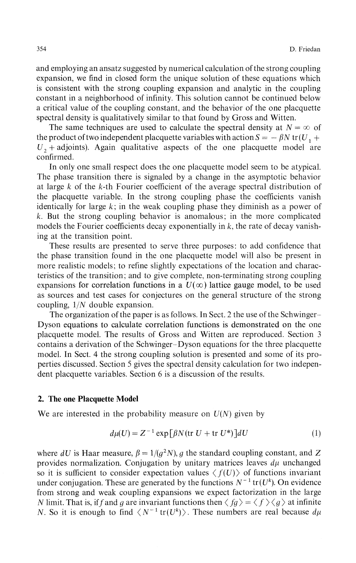and employing an ansatz suggested by numerical calculation of the strong coupling expansion, we find in closed form the unique solution of these equations which is consistent with the strong coupling expansion and analytic in the coupling constant in a neighborhood of infinity. This solution cannot be continued below a critical value of the coupling constant, and the behavior of the one placquette spectral density is qualitatively similar to that found by Gross and Witten.

The same techniques are used to calculate the spectral density at  $N = \infty$  of the product of two independent placquette variables with action  $S = -\beta N \text{ tr}(U_1 +$  $U_2$  + adjoints). Again qualitative aspects of the one placquette model are confirmed.

In only one small respect does the one placquette model seem to be atypical. The phase transition there is signaled by a change in the asymptotic behavior at large  $k$  of the  $k$ -th Fourier coefficient of the average spectral distribution of the placquette variable. In the strong coupling phase the coefficients vanish identically for large *k;* in the weak coupling phase they diminish as a power of *k.* But the strong coupling behavior is anomalous; in the more complicated models the Fourier coefficients decay exponentially in  $k$ , the rate of decay vanishing at the transition point.

These results are presented to serve three purposes: to add confidence that the phase transition found in the one placquette model will also be present in more realistic models; to refine slightly expectations of the location and charac teristics of the transition; and to give complete, non-terminating strong coupling expansions for correlation functions in a  $U(\infty)$  lattice gauge model, to be used as sources and test cases for conjectures on the general structure of the strong coupling, 1/N double expansion.

The organization of the paper is as follows. In Sect. 2 the use of the Schwinger Dyson equations to calculate correlation functions is demonstrated on the one placquette model. The results of Gross and Witten are reproduced. Section 3 contains a derivation of the Schwinger-Dyson equations for the three placquette model. In Sect. 4 the strong coupling solution is presented and some of its pro perties discussed. Section 5 gives the spectral density calculation for two indepen dent placquette variables. Section 6 is a discussion of the results.

## **2. The one Placquette Model**

We are interested in the probability measure on *U(N)* given by

$$
d\mu(U) = Z^{-1} \exp[\beta N (\text{tr } U + \text{tr } U^*)]dU \tag{1}
$$

where dU is Haar measure,  $\beta = 1/(q^2N)$ , g the standard coupling constant, and Z provides normalization. Conjugation by unitary matrices leaves *dμ* unchanged so it is sufficient to consider expectation values  $\langle f(U) \rangle$  of functions invariant under conjugation. These are generated by the functions  $N^{-1}$  tr( $U^k$ ). On evidence from strong and weak coupling expansions we expect factorization in the large *N* limit. That is, if f and g are invariant functions then  $\langle fg \rangle = \langle f \rangle \langle g \rangle$  at infinite *N*. So it is enough to find  $\langle N^{-1} \text{tr}(U^k) \rangle$ . These numbers are real because  $d\mu$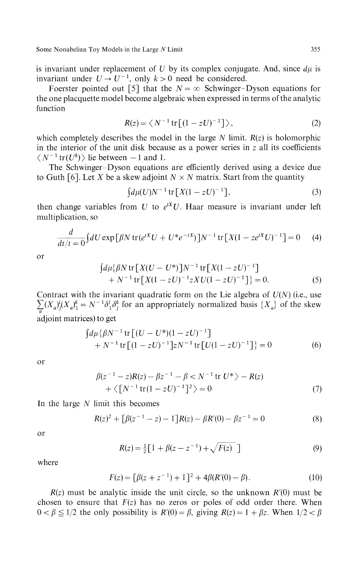is invariant under replacement of *U* by its complex conjugate. And, since *dμ* is invariant under  $U \rightarrow U^{-1}$ , only  $k > 0$  need be considered.

Foerster pointed out [5] that the  $N = \infty$  Schwinger-Dyson equations for the one placquette model become algebraic when expressed in terms of the analytic function

$$
R(z) = \langle N^{-1} \operatorname{tr} \left[ (1 - zU)^{-1} \right] \rangle, \tag{2}
$$

which completely describes the model in the large *N* limit. *R(z)* is holomorphic in the interior of the unit disk because as a power series in  $z$  all its coefficients  $\langle N^{-1}$  tr $(U^k)$  lie between -1 and 1.

The Schwinger-Dyson equations are efficiently derived using a device due to Guth [6]. Let X be a skew adjoint  $N \times N$  matrix. Start from the quantity

$$
\int d\mu(U)N^{-1}\,\text{tr}\left[X(1-zU)^{-1}\right],\tag{3}
$$

then change variables from  $U$  to  $e^{tX}U$ . Haar measure is invariant under left multiplication, so

$$
\frac{d}{dt/t=0} \int dU \exp\left[\beta N \operatorname{tr}(e^{tX}U + U^*e^{-tX})\right]N^{-1} \operatorname{tr}\left[X(1 - ze^{tX}U)^{-1}\right] = 0 \tag{4}
$$

or

$$
\begin{aligned} \n\int d\mu \{\beta N \, \text{tr} \left[ X(U - U^*) \right] N^{-1} \, \text{tr} \left[ X(1 - zU)^{-1} \right] \\ \n&+ N^{-1} \, \text{tr} \left[ X(1 - zU)^{-1} z X U(1 - zU)^{-1} \right] \} = 0. \n\end{aligned} \tag{5}
$$

Contract with the invariant quadratic form on the Lie algebra of *U(N)* (i.e., use  $\sum (X_a)^i (X_a)^k = N^{-1} \delta^i_1 \delta^k_i$  for an appropriately normalized basis  $\{X_a\}$  of the skew adjoint matrices) to get

$$
\int d\mu \{\beta N^{-1} \text{tr} \left[ (U - U^*) (1 - zU)^{-1} \right] + N^{-1} \text{tr} \left[ (1 - zU)^{-1} \right] z N^{-1} \text{tr} \left[ U (1 - zU)^{-1} \right] \} = 0
$$
 (6)

or

$$
\beta(z^{-1} - z)R(z) - \beta z^{-1} - \beta < N^{-1} \text{tr } U^* \rangle - R(z) + \langle [N^{-1} \text{tr} (1 - zU)^{-1}]^2 \rangle = 0
$$
\n<sup>(7)</sup>

In the large *N* limit this becomes

$$
R(z)^{2} + [\beta(z^{-1} - z) - 1]R(z) - \beta R'(0) - \beta z^{-1} = 0
$$
\n(8)

or

$$
R(z) = \frac{1}{2} \left[ 1 + \beta (z - z^{-1}) + \sqrt{F(z)} \right]
$$
 (9)

where

$$
F(z) = [\beta(z + z^{-1}) + 1]^2 + 4\beta(R'(0) - \beta).
$$
 (10)

*R(z)* must be analytic inside the unit circle, so the unknown *R'(0)* must be chosen to ensure that *F(z)* has no zeros or poles of odd order there. When  $0 < \beta \leq 1/2$  the only possibility is  $R'(0) = \beta$ , giving  $R(z) = 1 + \beta z$ . When  $1/2 < \beta$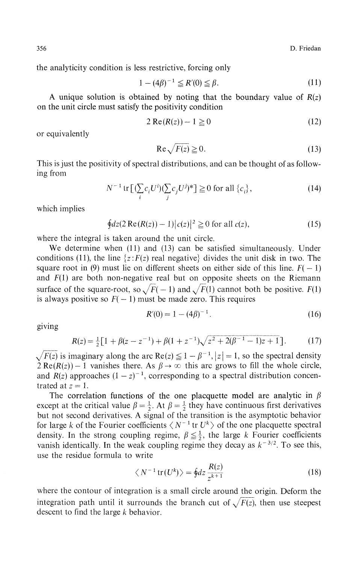the analyticity condition is less restrictive, forcing only

$$
1 - (4\beta)^{-1} \le R'(0) \le \beta.
$$
 (11)

A unique solution is obtained by noting that the boundary value of *R(z)* on the unit circle must satisfy the positivity condition

$$
2 \operatorname{Re}(R(z)) - 1 \ge 0 \tag{12}
$$

or equivalently

$$
\operatorname{Re}\sqrt{F(z)} \ge 0. \tag{13}
$$

This is just the positivity of spectral distributions, and can be thought of as follow ing from

$$
N^{-1} \operatorname{tr} \left[ \left( \sum_{i} c_i U^i \right) \left( \sum_{j} c_j U^j \right)^* \right] \ge 0 \text{ for all } \left\{ c_i \right\},\tag{14}
$$

which implies

$$
\oint dz (2 \operatorname{Re} (R(z)) - 1) |c(z)|^2 \ge 0 \text{ for all } c(z), \tag{15}
$$

where the integral is taken around the unit circle.

We determine when (11) and (13) can be satisfied simultaneously. Under conditions (11), the line  $\{z: F(z) \text{ real negative}\}\$  divides the unit disk in two. The square root in (9) must lie on different sheets on either side of this line.  $F(-1)$ and  $F(1)$  are both non-negative real but on opposite sheets on the Riemann surface of the square-root, so  $\sqrt{F(-1)}$  and  $\sqrt{F(1)}$  cannot both be positive.  $F(1)$ is always positive so  $F(-1)$  must be made zero. This requires

$$
R'(0) = 1 - (4\beta)^{-1}.
$$
 (16)

giving

$$
R(z) = \frac{1}{2} \left[ 1 + \beta (z - z^{-1}) + \beta (1 + z^{-1}) \sqrt{z^2 + 2(\beta^{-1} - 1)z + 1} \right].
$$
 (17)

 $\sqrt{F(z)}$  is imaginary along the arc  $\text{Re}(z) \leq 1 - \beta^{-1}$ ,  $|z| = 1$ , so the spectral density  $2 \text{Re}(R(z)) - 1$  vanishes there. As  $\beta \rightarrow \infty$  this arc grows to fill the whole circle, and  $R(z)$  approaches  $(1-z)^{-1}$ , corresponding to a spectral distribution concen trated at *z=* 1.

The correlation functions of the one placquette model are analytic in *β* except at the critical value  $\beta = \frac{1}{2}$ . At  $\beta = \frac{1}{2}$  they have continuous first derivatives but not second derivatives. A signal of the transition is the asymptotic behavior for large k of the Fourier coefficients  $\langle N^{-1}$  tr  $U^k \rangle$  of the one placquette spectral density. In the strong coupling regime,  $\beta \leq \frac{1}{2}$ , the large k Fourier coefficients vanish identically. In the weak coupling regime they decay as  $k^{-3/2}$ . To see this, use the residue formula to write

$$
\langle N^{-1} \operatorname{tr}(U^k) \rangle = \oint dz \frac{R(z)}{z^{k+1}} \tag{18}
$$

where the contour of integration is a small circle around the origin. Deform the integration path until it surrounds the branch cut of  $\sqrt{F(z)}$ , then use steepest descent to find the large *k* behavior.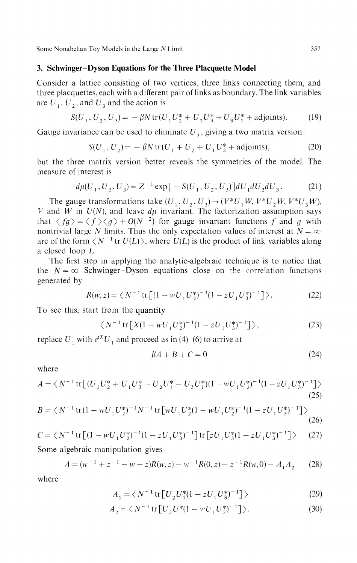#### **3. Schwinger-Dyson Equations for the Three Placquette Model**

Consider a lattice consisting of two vertices, three links connecting them, and three placquettes, each with a different pair of links as boundary. The link variables are  $\overline{U}_1$ ,  $\overline{U}_2$ , and  $\overline{U}_3$  and the action is

$$
S(U_1, U_2, U_3) = -\beta N \operatorname{tr}(U_1 U_2^* + U_2 U_3^* + U_3 U_1^* + \text{adjoints}). \tag{19}
$$

Gauge invariance can be used to eliminate  $U_3$ , giving a two matrix version:

$$
S(U_1, U_2) = -\beta N \operatorname{tr}(U_1 + U_2 + U_1 U_2^* + \text{adjoints}), \tag{20}
$$

but the three matrix version better reveals the symmetries of the model. The measure of interest is

$$
d\mu(U_1, U_2, U_3) = Z^{-1} \exp\big[-S(U_1, U_2, U_3)\big] dU_1 dU_2 dU_3.
$$
 (21)

The gauge transformations take  $(U_1, U_2, U_3) \rightarrow (V^*U_1W, V^*U_2W, V^*U_3W)$ , V and W in  $U(N)$ , and leave  $d\mu$  invariant. The factorization assumption says that  $\langle fg \rangle = \langle f \rangle \langle g \rangle + O(N^{-2})$  for gauge invariant functions f and g with nontrivial large N limits. Thus the only expectation values of interest at  $N = \infty$ are of the form  $\langle N^{-1}$  tr  $U(L)$ , where  $U(L)$  is the product of link variables along a closed loop L.

The first step in applying the analytic-algebraic technique is to notice that the  $N = \infty$  Schwinger-Dyson equations close on the correlation functions generated by

$$
R(w, z) = \langle N^{-1} \operatorname{tr} \left[ (1 - wU_1 U_2^*)^{-1} (1 - zU_1 U_3^*)^{-1} \right] \rangle. \tag{22}
$$

To see this, start from the quantity

$$
\langle N^{-1} \text{tr} \left[ X(1 - wU_1 U_2^*)^{-1} (1 - zU_1 U_3^*)^{-1} \right] \rangle,
$$
 (23)

replace  $U_1$  with  $e^{tX}U_1$  and proceed as in (4)-(6) to arrive a

$$
\beta A + B + C = 0 \tag{24}
$$

where

$$
A = \langle N^{-1} \text{tr} \left[ (U_1 U_2^* + U_1 U_3^* - U_2 U_1^* - U_3 U_1^*) (1 - w U_1 U_2^*)^{-1} (1 - z U_1 U_3^*)^{-1} \right] \rangle
$$
\n(25)

$$
B = \langle N^{-1} \text{tr} (1 - wU_1 U_2^*)^{-1} N^{-1} \text{tr} \big[ wU_1 U_2^* (1 - wU_1 U_2^*)^{-1} (1 - zU_1 U_3^*)^{-1} \big] \rangle \tag{26}
$$

$$
C = \langle N^{-1} \text{tr} \left[ (1 - wU_1 U_2^*)^{-1} (1 - zU_1 U_3^*)^{-1} \right] \text{tr} \left[ zU_1 U_3^* (1 - zU_1 U_3^*)^{-1} \right] \rangle \tag{27}
$$

Some algebraic manipulation gives

$$
A = (w^{-1} + z^{-1} - w - z)R(w, z) - w^{-1}R(0, z) - z^{-1}R(w, 0) - A_1A_2
$$
 (28)

where

$$
A_1 = \langle N^{-1} \text{tr} \left[ U_2 U_1^* (1 - z U_1 U_3^*)^{-1} \right] \rangle \tag{29}
$$

$$
A_2 = \langle N^{-1} \text{tr} \left[ U_3 U_1^*(1 - wU_1 U_2^*)^{-1} \right] \rangle. \tag{30}
$$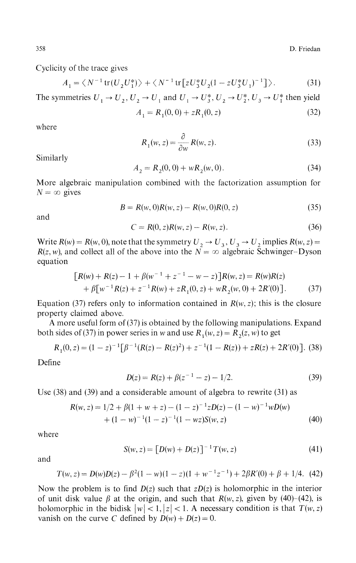358 D. Friedan

Cyclicity of the trace gives

$$
A_1 = \langle N^{-1} \text{tr}(U_2 U_1^*) \rangle + \langle N^{-1} \text{tr}[z U_3^* U_2 (1 - z U_3^* U_1)^{-1}] \rangle. \tag{31}
$$

The symmetries  $U_1 \rightarrow U_2$ ,  $U_2 \rightarrow U_1$  and  $U_1 \rightarrow U_3^*$ ,  $U_2 \rightarrow U_2^*$ ,  $U_3 \rightarrow U_1^*$  then yield  $A = D(0,0) + zD(0,z)$  (32)

$$
A_1 = K_1(0, 0) + 2K_1(0, 2)
$$
 (32)

where

$$
R_1(w, z) = \frac{\partial}{\partial w} R(w, z). \tag{33}
$$

Similarly

$$
A_2 = R_2(0,0) + wR_2(w,0). \tag{34}
$$

More algebraic manipulation combined with the factorization assumption for  $N = \infty$  gives

$$
B = R(w, 0)R(w, z) - R(w, 0)R(0, z)
$$
\n(35)

and

$$
C = R(0, z)R(w, z) - R(w, z).
$$
 (36)

Write  $R(w) = R(w, 0)$ , note that the symmetry  $U_2 \rightarrow U_3$ ,  $U_3 \rightarrow U_2$  implies  $R(w, z) =$  $R(z, w)$ , and collect all of the above into the  $N = \infty$  algebraic Schwinger-Dyson equation

$$
[R(w) + R(z) - 1 + \beta(w^{-1} + z^{-1} - w - z)]R(w, z) = R(w)R(z)
$$
  
+  $\beta[w^{-1}R(z) + z^{-1}R(w) + zR_1(0, z) + wR_2(w, 0) + 2R'(0)].$  (37)

Equation (37) refers only to information contained in  $R(w, z)$ ; this is the closure property claimed above.

A more useful form of (37) is obtained by the following manipulations. Expand both sides of (37) in power series in w and use  $R_1(w, z) = R_2(z, w)$  to get

$$
R_1(0, z) = (1 - z)^{-1} \left[ \beta^{-1} (R(z) - R(z)^2) + z^{-1} (1 - R(z)) + zR(z) + 2R'(0) \right].
$$
 (38)

Define

$$
D(z) = R(z) + \beta(z^{-1} - z) - 1/2.
$$
 (39)

Use (38) and (39) and a considerable amount of algebra to rewrite (31) as

$$
R(w, z) = 1/2 + \beta(1 + w + z) - (1 - z)^{-1}zD(z) - (1 - w)^{-1}wD(w) + (1 - w)^{-1}(1 - z)^{-1}(1 - wz)S(w, z)
$$
(40)

where

$$
S(w, z) = [D(w) + D(z)]^{-1} T(w, z)
$$
\n(41)

and

$$
T(w, z) = D(w)D(z) - \beta^2(1 - w)(1 - z)(1 + w^{-1}z^{-1}) + 2\beta R'(0) + \beta + 1/4.
$$
 (42)

Now the problem is to find *D(z)* such that *zD(z)* is holomorphic in the interior of unit disk value  $\beta$  at the origin, and such that  $R(w, z)$ , given by (40)-(42), is holomorphic in the bidisk  $|w| < 1$ ,  $|z| < 1$ . A necessary condition is that  $T(w, z)$ vanish on the curve *C* defined by  $D(w) + D(z) = 0$ .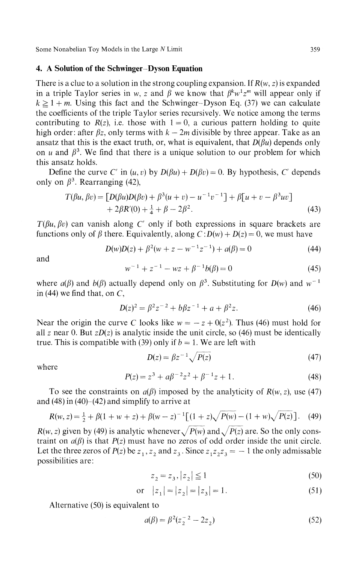#### **4. A Solution of the Schwinger-Dyson Equation**

There is a clue to a solution in the strong coupling expansion. If *R(w, z)* is expanded in a triple Taylor series in w, z and  $\beta$  we know that  $\beta^k w^1 z^m$  will appear only if  $k \ge 1 + m$ . Using this fact and the Schwinger-Dyson Eq. (37) we can calculate the coefficients of the triple Taylor series recursively. We notice among the terms contributing to  $R(z)$ , i.e. those with  $1 = 0$ , a curious pattern holding to quite high order: after  $\beta z$ , only terms with  $k - 2m$  divisible by three appear. Take as an ansatz that this is the exact truth, or, what is equivalent, that  $D(\beta u)$  depends only on *u* and  $\beta^3$ . We find that there is a unique solution to our problem for which this ansatz holds.

Define the curve *C'* in  $(u, v)$  by  $D(\beta u) + D(\beta v) = 0$ . By hypothesis, *C'* depends only on  $\beta^3$ . Rearranging (42),

$$
T(\beta u, \beta v) = [D(\beta u)D(\beta v) + \beta^3 (u + v) - u^{-1}v^{-1}] + \beta [u + v - \beta^3 uv] + 2\beta R'(0) + \frac{1}{4} + \beta - 2\beta^2.
$$
 (43)

*T(βu, βv)* can vanish along *C'* only if both expressions in square brackets are functions only of *β* there. Equivalently, along  $C: D(w) + D(z) = 0$ , we must have

$$
D(w)D(z) + \beta^2(w + z - w^{-1}z^{-1}) + a(\beta) = 0 \tag{44}
$$

and

$$
w^{-1} + z^{-1} - wz + \beta^{-1}b(\beta) = 0
$$
\n(45)

where  $a(\beta)$  and  $b(\beta)$  actually depend only on  $\beta^3$ . Substituting for  $D(w)$  and  $w^{-1}$ in (44) we find that, on  $C$ ,

$$
D(z)^2 = \beta^2 z^{-2} + b\beta z^{-1} + a + \beta^2 z.
$$
 (46)

Near the origin the curve C looks like  $w = -z + 0(z^2)$ . Thus (46) must hold for all *z* near 0. But *zD(z)* is analytic inside the unit circle, so (46) must be identically true. This is compatible with (39) only if  $b = 1$ . We are left with

$$
D(z) = \beta z^{-1} \sqrt{P(z)}\tag{47}
$$

where

$$
P(z) = z3 + a\beta^{-2}z2 + \beta^{-1}z + 1.
$$
 (48)

To see the constraints on  $a(\beta)$  imposed by the analyticity of  $R(w, z)$ , use (47) and  $(48)$  in  $(40)$ – $(42)$  and simplify to arrive at

$$
R(w, z) = \frac{1}{2} + \beta(1 + w + z) + \beta(w - z)^{-1} \left[ (1 + z)\sqrt{P(w) - (1 + w)}\sqrt{P(z)} \right].
$$
 (49)

*R*(*w*, *z*) given by (49) is analytic whenever  $\sqrt{P(w)}$  and  $\sqrt{P(z)}$  are. So the only cons traint on *a(β)* is that *P(z)* must have no zeros of odd order inside the unit circle. Let the three zeros of  $P(z)$  be  $z_1, z_2$  and  $z_3$ . Since  $z_1z_2z_3 = -1$  the only admissable possibilities are:

$$
z_2 = z_3, |z_2| \le 1 \tag{50}
$$

or 
$$
|z_1| = |z_2| = |z_3| = 1.
$$
 (51)

Alternative (50) is equivalent to

$$
a(\beta) = \beta^2 (z_2^{-2} - 2z_2) \tag{52}
$$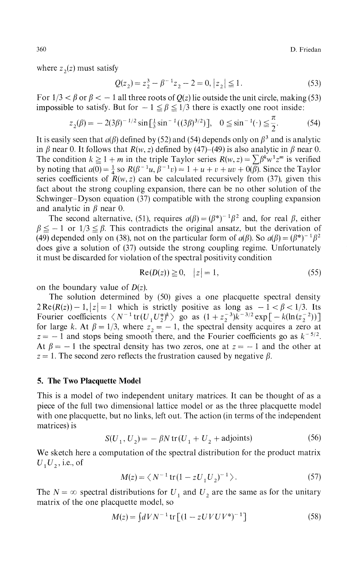360 D. Friedan

where  $z_2(z)$  must satisfy

$$
Q(z_2) = z_2^3 - \beta^{-1} z_2 - 2 = 0, |z_2| \le 1.
$$
 (53)

For  $1/3 < \beta$  or  $\beta < -1$  all three roots of  $Q(z)$  lie outside the unit circle, making (53) impossible to satisfy. But for  $-1 \leq \beta \leq 1/3$  there is exactly one root inside:

$$
z_2(\beta) = -2(3\beta)^{-1/2} \sin\left[\frac{1}{3}\sin^{-1}((3\beta)^{3/2})\right], \quad 0 \le \sin^{-1}(\cdot) \le \frac{\pi}{2}.
$$
 (54)

It is easily seen that  $a(\beta)$  defined by (52) and (54) depends only on  $\beta^3$  and is analytic in  $\beta$  near 0. It follows that  $R(w, z)$  defined by (47)–(49) is also analytic in  $\beta$  near 0. The condition  $k \ge 1 + m$  in the triple Taylor series  $R(w, z) = \sum \beta^k w^2 z^m$  is verified by noting that  $a(0) = \frac{1}{4}$  so  $R(\beta^{-1}u, \beta^{-1}v) = 1 + u + v + uv + 0(\beta)$ . Since the Taylor series coefficients of  $R(w, z)$  can be calculated recursively from (37), given this fact about the strong coupling expansion, there can be no other solution of the Schwinger-Dyson equation (37) compatible with the strong coupling expansion and analytic in *β* near 0.

The second alternative, (51), requires  $a(\beta) = (\beta^*)^{-1} \beta^2$  and, for real  $\beta$ , either  $\beta \leq -1$  or  $1/3 \leq \beta$ . This contradicts the original ansatz, but the derivation of (49) depended only on (38), not on the particular form of  $a(\beta)$ . So  $a(\beta) = (\beta^*)^{-1} \beta^2$ does give a solution of (37) outside the strong coupling regime. Unfortunately it must be discarded for violation of the spectral positivity condition

$$
Re(D(z)) \ge 0, \quad |z| = 1,
$$
\n<sup>(55)</sup>

on the boundary value of *D(z).*

The solution determined by (50) gives a one placquette spectral density  $2 \text{Re}(R(z)) - 1, |z| = 1$  which is strictly positive as long as  $-1 < \beta < 1/3$ . Its Fourier coefficients  $\langle N^{-1} \text{tr}(U_1 U_2^*)^k \rangle$  go as  $(1 + z_2^{-3})k^{-3/2} \exp[-k(\ln(z_2^{-2}))]$ for large k. At  $\beta = 1/3$ , where  $z_2 = -1$ , the spectral density acquires a zero at  $z = -1$  and stops being smooth there, and the Fourier coefficients go as  $k^{-5/2}$ . At  $\beta = -1$  the spectral density has two zeros, one at  $z = -1$  and the other at  $z = 1$ . The second zero reflects the frustration caused by negative  $\beta$ .

#### **5. The Two Placquette Model**

This is a model of two independent unitary matrices. It can be thought of as a piece of the full two dimensional lattice model or as the three placquette model with one placquette, but no links, left out. The action (in terms of the independent matrices) is

$$
S(U_1, U_2) = -\beta N \operatorname{tr}(U_1 + U_2 + \text{adjoints})
$$
\n<sup>(56)</sup>

We sketch here a computation of the spectral distribution for the product matrix  $U_1U_2$ , i.e., of

$$
M(z) = \langle N^{-1} \text{tr}(1 - zU_1U_2)^{-1} \rangle. \tag{57}
$$

The  $N = \infty$  spectral distributions for  $U_1$  and  $U_2$  are the same as for the unitary matrix of the one placquette model, so

$$
M(z) = \int dV N^{-1} \, \text{tr} \left[ (1 - zUVUV^*)^{-1} \right] \tag{58}
$$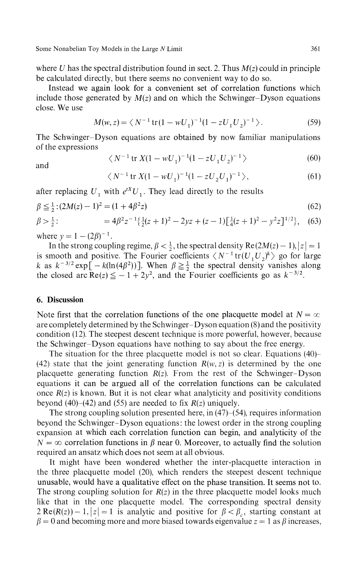where *U* has the spectral distribution found in sect. 2. Thus *M(z)* could in principle be calculated directly, but there seems no convenient way to do so.

Instead we again look for a convenient set of correlation functions which include those generated by  $M(z)$  and on which the Schwinger-Dyson equations close. We use

$$
M(w, z) = \langle N^{-1} \operatorname{tr} (1 - wU_1)^{-1} (1 - zU_1 U_2)^{-1} \rangle. \tag{59}
$$

The Schwinger-Dyson equations are obtained by now familiar manipulations of the expressions

and

$$
\langle N^{-1} \operatorname{tr} X (1 - w U_1)^{-1} (1 - z U_1 U_2)^{-1} \rangle \tag{60}
$$
  

$$
\langle N^{-1} \operatorname{tr} X (1 - w U_1)^{-1} (1 - z U_2 U_1)^{-1} \rangle, \tag{61}
$$

after replacing  $U_1$  with  $e$   $U_1$ . They lead directly to the results

$$
\beta \leq \frac{1}{2} \cdot (2M(z) - 1)^2 = (1 + 4\beta^2 z) \tag{62}
$$

$$
\beta > \frac{1}{2}:\qquad \qquad = 4\beta^2 z^{-1} \left\{ \frac{1}{2}(z+1)^2 - 2yz + (z-1)\left[ \frac{1}{4}(z+1)^2 - y^2 z \right]^{1/2} \right\},\tag{63}
$$

where  $y = 1 - (2\beta)^{-1}$ .

In the strong coupling regime,  $\beta < \frac{1}{2}$ , the spectral density  $\text{Re}(2M(z) - 1), |z| = 1$ is smooth and positive. The Fourier coefficients  $\langle N^{-1} \text{tr}(U_1 U_2)^k \rangle$  go for large *k* as  $k^{-3/2}$  exp[  $-k(\ln(4\beta^2))$ ]. When  $\beta \geq \frac{1}{2}$  the spectral density vanishes along the closed arc  $\text{Re}(z) \leq -1 + 2y^2$ , and the Fourier coefficients go as  $k^{-3/2}$ .

## **6. Discussion**

Note first that the correlation functions of the one placquette model at  $N = \infty$ are completely determined by the Schwinger-Dyson equation (8) and the positivity condition (12). The steepest descent technique is more powerful, however, because the Schwinger-Dyson equations have nothing to say about the free energy.

The situation for the three placquette model is not so clear. Equations (40) (42) state that the joint generating function  $R(w, z)$  is determined by the one placquette generating function *R(z).* From the rest of the Schwinger-Dyson equations it can be argued all of the correlation functions can be calculated once  $R(z)$  is known. But it is not clear what analyticity and positivity conditions beyond (40)–(42) and (55) are needed to fix  $R(z)$  uniquely.

The strong coupling solution presented here, in  $(47)$ – $(54)$ , requires information beyond the Schwinger-Dyson equations: the lowest order in the strong coupling expansion at which each correlation function can begin, and analyticity of the  $N = \infty$  correlation functions in  $\beta$  near 0. Moreover, to actually find the solution required an ansatz which does not seem at all obvious.

It might have been wondered whether the inter-placquette interaction in the three placquette model (20), which renders the steepest descent technique unusable, would have a qualitative effect on the phase transition. It seems not to. The strong coupling solution for *R(z)* in the three placquette model looks much like that in the one placquette model. The corresponding spectral density  $2 \text{Re}(R(z)) - 1, |z| = 1$  is analytic and positive for  $\beta < \beta_c$ , starting constant at  $\beta = 0$  and becoming more and more biased towards eigenvalue  $z = 1$  as  $\beta$  increases,